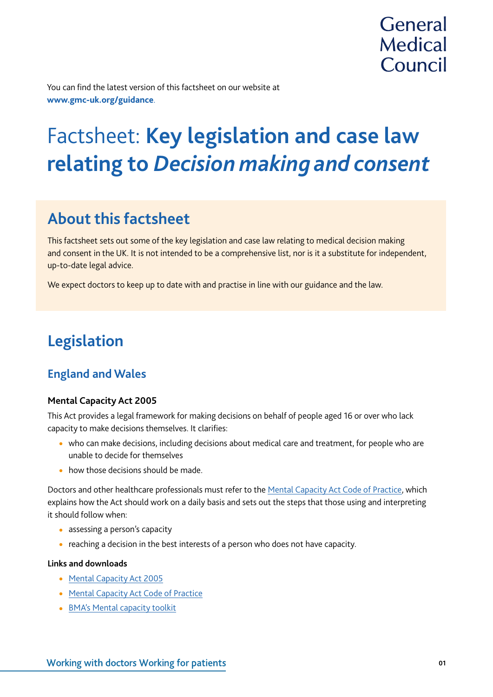

You can find the latest version of this factsheet on our website at **www.gmc-uk.org/guidance**.

# Factsheet: **Key legislation and case law relating to** *Decision making and consent*

# **About this factsheet**

This factsheet sets out some of the key legislation and case law relating to medical decision making and consent in the UK. It is not intended to be a comprehensive list, nor is it a substitute for independent, up-to-date legal advice.

We expect doctors to keep up to date with and practise in line with our guidance and the law.

# **Legislation**

### **England and Wales**

### **Mental Capacity Act 2005**

This Act provides a legal framework for making decisions on behalf of people aged 16 or over who lack capacity to make decisions themselves. It clarifies:

- who can make decisions, including decisions about medical care and treatment, for people who are unable to decide for themselves
- how those decisions should be made.

Doctors and other healthcare professionals must refer to the [Mental Capacity Act Code of Practice](https://www.gov.uk/government/publications/mental-capacity-act-code-of-practice), which explains how the Act should work on a daily basis and sets out the steps that those using and interpreting it should follow when:

- assessing a person's capacity
- reaching a decision in the best interests of a person who does not have capacity.

#### **Links and downloads**

- Mental Capacity Act 2005
- **[Mental Capacity Act Code of Practice](https://www.gov.uk/government/publications/mental-capacity-act-code-of-practice)**
- [BMA's Mental capacity toolkit](https://www.bma.org.uk/advice/employment/ethics/mental-capacity/mental-capacity-toolkit)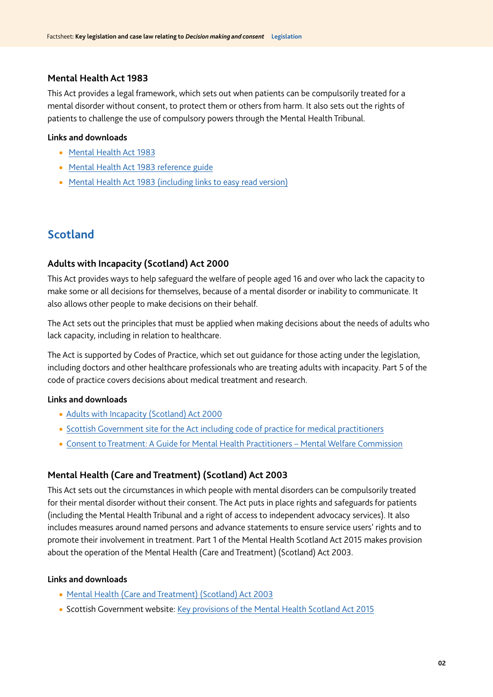#### **Mental Health Act 1983**

This Act provides a legal framework, which sets out when patients can be compulsorily treated for a mental disorder without consent, to protect them or others from harm. It also sets out the rights of patients to challenge the use of compulsory powers through the Mental Health Tribunal.

#### **Links and downloads**

- [Mental Health Act 1983](http://www.legislation.gov.uk/ukpga/1983/20/contents)
- [Mental Health Act 1983 reference guide](https://www.gov.uk/government/publications/mental-health-act-1983-reference-guide)
- [Mental Health Act 1983 \(including links to easy read version\)](https://www.gov.uk/government/publications/code-of-practice-mental-health-act-1983)

### **Scotland**

### **Adults with Incapacity (Scotland) Act 2000**

This Act provides ways to help safeguard the welfare of people aged 16 and over who lack the capacity to make some or all decisions for themselves, because of a mental disorder or inability to communicate. It also allows other people to make decisions on their behalf.

The Act sets out the principles that must be applied when making decisions about the needs of adults who lack capacity, including in relation to healthcare.

The Act is supported by Codes of Practice, which set out guidance for those acting under the legislation, including doctors and other healthcare professionals who are treating adults with incapacity. Part 5 of the code of practice covers decisions about medical treatment and research.

#### **Links and downloads**

- [Adults with Incapacity \(Scotland\) Act 2000](http://www.legislation.gov.uk/asp/2000/4/contents)
- [Scottish Government site for the Act including code of practice for medical practitioners](http://www.gov.scot/Topics/Justice/law/awi)
- [Consent to Treatment: A Guide for Mental Health Practitioners Mental Welfare Commission](https://www.mwcscot.org.uk/sites/default/files/2019-06/consent_to_treatment_2018.pdf)

### **Mental Health (Care and Treatment) (Scotland) Act 2003**

This Act sets out the circumstances in which people with mental disorders can be compulsorily treated for their mental disorder without their consent. The Act puts in place rights and safeguards for patients (including the Mental Health Tribunal and a right of access to independent advocacy services). It also includes measures around named persons and advance statements to ensure service users' rights and to promote their involvement in treatment. Part 1 of the Mental Health Scotland Act 2015 makes provision about the operation of the Mental Health (Care and Treatment) (Scotland) Act 2003.

#### **Links and downloads**

- [Mental Health \(Care and Treatment\) \(Scotland\) Act 2003](http://www.legislation.gov.uk/asp/2003/13/contents)
- Scottish Government website: [Key provisions of the Mental Health Scotland Act 2015](https://www2.gov.scot/Topics/Health/Services/Mental-Health/Law/2015Act-provisions)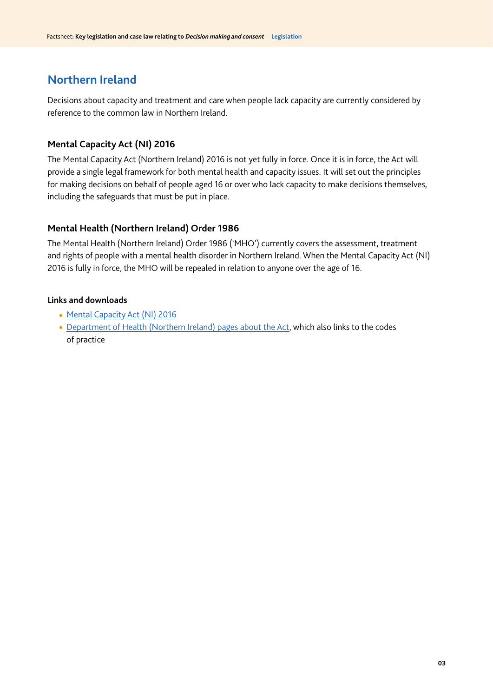### **Northern Ireland**

Decisions about capacity and treatment and care when people lack capacity are currently considered by reference to the common law in Northern Ireland.

### **Mental Capacity Act (NI) 2016**

The Mental Capacity Act (Northern Ireland) 2016 is not yet fully in force. Once it is in force, the Act will provide a single legal framework for both mental health and capacity issues. It will set out the principles for making decisions on behalf of people aged 16 or over who lack capacity to make decisions themselves, including the safeguards that must be put in place.

### **Mental Health (Northern Ireland) Order 1986**

The Mental Health (Northern Ireland) Order 1986 ('MHO') currently covers the assessment, treatment and rights of people with a mental health disorder in Northern Ireland. When the Mental Capacity Act (NI) 2016 is fully in force, the MHO will be repealed in relation to anyone over the age of 16.

### **Links and downloads**

- [Mental Capacity Act \(NI\) 2016](http://www.legislation.gov.uk/nia/2016/18/contents/enacted)
- [Department of Health \(Northern Ireland\) pages about the Act](https://www.health-ni.gov.uk/mental-capacity-act-background), which also links to the codes of practice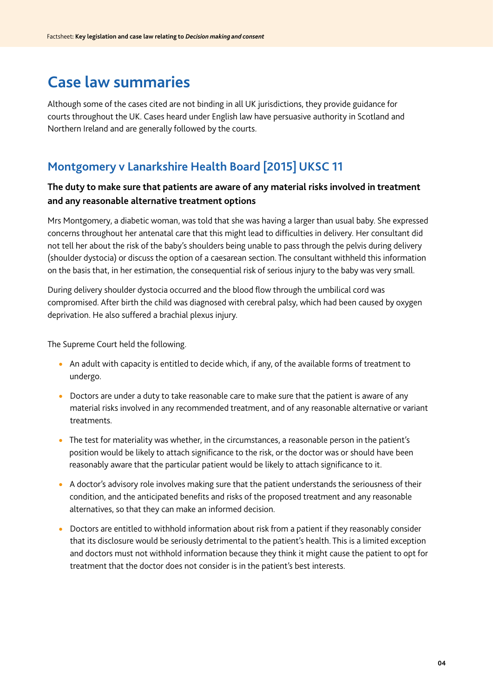# **Case law summaries**

Although some of the cases cited are not binding in all UK jurisdictions, they provide guidance for courts throughout the UK. Cases heard under English law have persuasive authority in Scotland and Northern Ireland and are generally followed by the courts.

### **Montgomery v Lanarkshire Health Board [2015] UKSC 11**

### **The duty to make sure that patients are aware of any material risks involved in treatment and any reasonable alternative treatment options**

Mrs Montgomery, a diabetic woman, was told that she was having a larger than usual baby. She expressed concerns throughout her antenatal care that this might lead to difficulties in delivery. Her consultant did not tell her about the risk of the baby's shoulders being unable to pass through the pelvis during delivery (shoulder dystocia) or discuss the option of a caesarean section. The consultant withheld this information on the basis that, in her estimation, the consequential risk of serious injury to the baby was very small.

During delivery shoulder dystocia occurred and the blood flow through the umbilical cord was compromised. After birth the child was diagnosed with cerebral palsy, which had been caused by oxygen deprivation. He also suffered a brachial plexus injury.

The Supreme Court held the following.

- An adult with capacity is entitled to decide which, if any, of the available forms of treatment to undergo.
- Doctors are under a duty to take reasonable care to make sure that the patient is aware of any material risks involved in any recommended treatment, and of any reasonable alternative or variant treatments.
- The test for materiality was whether, in the circumstances, a reasonable person in the patient's position would be likely to attach significance to the risk, or the doctor was or should have been reasonably aware that the particular patient would be likely to attach significance to it.
- A doctor's advisory role involves making sure that the patient understands the seriousness of their condition, and the anticipated benefits and risks of the proposed treatment and any reasonable alternatives, so that they can make an informed decision.
- Doctors are entitled to withhold information about risk from a patient if they reasonably consider that its disclosure would be seriously detrimental to the patient's health. This is a limited exception and doctors must not withhold information because they think it might cause the patient to opt for treatment that the doctor does not consider is in the patient's best interests.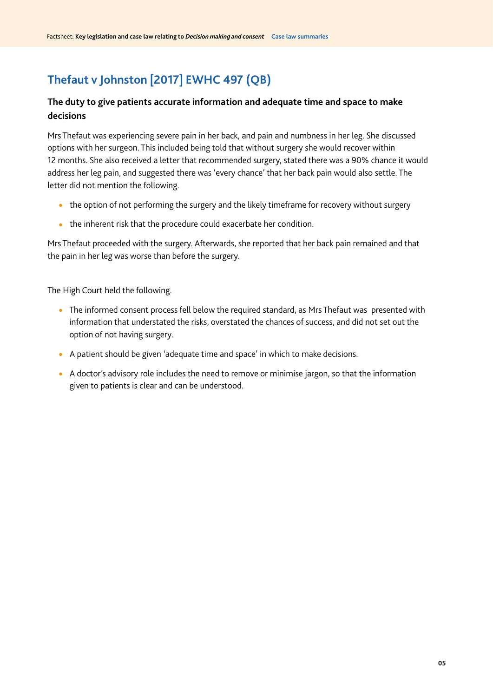## **Thefaut v Johnston [2017] EWHC 497 (QB)**

### **The duty to give patients accurate information and adequate time and space to make decisions**

Mrs Thefaut was experiencing severe pain in her back, and pain and numbness in her leg. She discussed options with her surgeon. This included being told that without surgery she would recover within 12 months. She also received a letter that recommended surgery, stated there was a 90% chance it would address her leg pain, and suggested there was 'every chance' that her back pain would also settle. The letter did not mention the following.

- the option of not performing the surgery and the likely timeframe for recovery without surgery
- $\bullet$  the inherent risk that the procedure could exacerbate her condition.

Mrs Thefaut proceeded with the surgery. Afterwards, she reported that her back pain remained and that the pain in her leg was worse than before the surgery.

The High Court held the following.

- The informed consent process fell below the required standard, as Mrs Thefaut was presented with information that understated the risks, overstated the chances of success, and did not set out the option of not having surgery.
- A patient should be given 'adequate time and space' in which to make decisions.
- A doctor's advisory role includes the need to remove or minimise jargon, so that the information given to patients is clear and can be understood.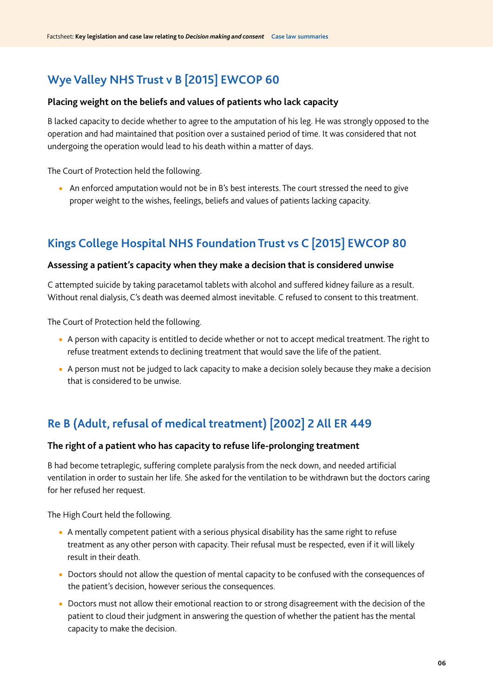### **Wye Valley NHS Trust v B [2015] EWCOP 60**

#### **Placing weight on the beliefs and values of patients who lack capacity**

B lacked capacity to decide whether to agree to the amputation of his leg. He was strongly opposed to the operation and had maintained that position over a sustained period of time. It was considered that not undergoing the operation would lead to his death within a matter of days.

The Court of Protection held the following.

• An enforced amputation would not be in B's best interests. The court stressed the need to give proper weight to the wishes, feelings, beliefs and values of patients lacking capacity.

### **Kings College Hospital NHS Foundation Trust vs C [2015] EWCOP 80**

#### **Assessing a patient's capacity when they make a decision that is considered unwise**

C attempted suicide by taking paracetamol tablets with alcohol and suffered kidney failure as a result. Without renal dialysis, C's death was deemed almost inevitable. C refused to consent to this treatment.

The Court of Protection held the following.

- A person with capacity is entitled to decide whether or not to accept medical treatment. The right to refuse treatment extends to declining treatment that would save the life of the patient.
- A person must not be judged to lack capacity to make a decision solely because they make a decision that is considered to be unwise.

### **Re B (Adult, refusal of medical treatment) [2002] 2 All ER 449**

### **The right of a patient who has capacity to refuse life-prolonging treatment**

B had become tetraplegic, suffering complete paralysis from the neck down, and needed artificial ventilation in order to sustain her life. She asked for the ventilation to be withdrawn but the doctors caring for her refused her request.

The High Court held the following.

- A mentally competent patient with a serious physical disability has the same right to refuse treatment as any other person with capacity. Their refusal must be respected, even if it will likely result in their death.
- Doctors should not allow the question of mental capacity to be confused with the consequences of the patient's decision, however serious the consequences.
- Doctors must not allow their emotional reaction to or strong disagreement with the decision of the patient to cloud their judgment in answering the question of whether the patient has the mental capacity to make the decision.